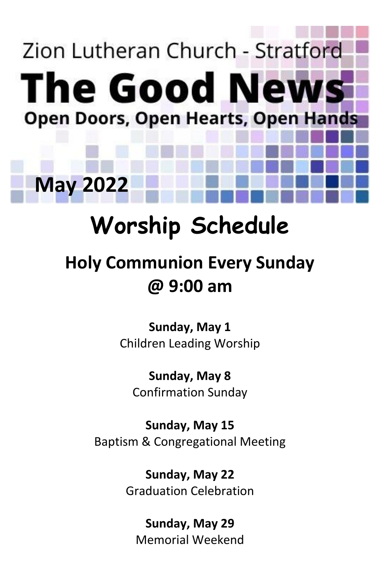# Zion Lutheran Church - Stratford **The Good News Open Doors, Open Hearts, Open Hands**

# **Worship Schedule**

**May 2022**

### **Holy Communion Every Sunday @ 9:00 am**

**Sunday, May 1** Children Leading Worship

**Sunday, May 8** Confirmation Sunday

**Sunday, May 15** Baptism & Congregational Meeting

> **Sunday, May 22** Graduation Celebration

**Sunday, May 29** Memorial Weekend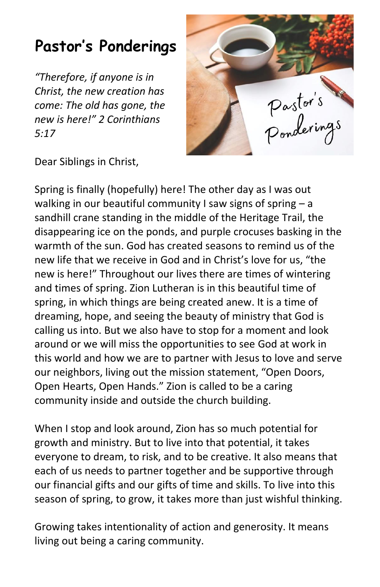#### **Pastor's Ponderings**

*"Therefore, if anyone is in Christ, the new creation has come: The old has gone, the new is here!" 2 Corinthians 5:17*



Dear Siblings in Christ,

Spring is finally (hopefully) here! The other day as I was out walking in our beautiful community I saw signs of spring  $- a$ sandhill crane standing in the middle of the Heritage Trail, the disappearing ice on the ponds, and purple crocuses basking in the warmth of the sun. God has created seasons to remind us of the new life that we receive in God and in Christ's love for us, "the new is here!" Throughout our lives there are times of wintering and times of spring. Zion Lutheran is in this beautiful time of spring, in which things are being created anew. It is a time of dreaming, hope, and seeing the beauty of ministry that God is calling us into. But we also have to stop for a moment and look around or we will miss the opportunities to see God at work in this world and how we are to partner with Jesus to love and serve our neighbors, living out the mission statement, "Open Doors, Open Hearts, Open Hands." Zion is called to be a caring community inside and outside the church building.

When I stop and look around, Zion has so much potential for growth and ministry. But to live into that potential, it takes everyone to dream, to risk, and to be creative. It also means that each of us needs to partner together and be supportive through our financial gifts and our gifts of time and skills. To live into this season of spring, to grow, it takes more than just wishful thinking.

Growing takes intentionality of action and generosity. It means living out being a caring community.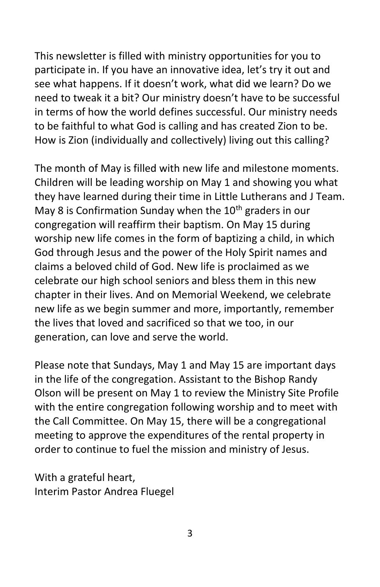This newsletter is filled with ministry opportunities for you to participate in. If you have an innovative idea, let's try it out and see what happens. If it doesn't work, what did we learn? Do we need to tweak it a bit? Our ministry doesn't have to be successful in terms of how the world defines successful. Our ministry needs to be faithful to what God is calling and has created Zion to be. How is Zion (individually and collectively) living out this calling?

The month of May is filled with new life and milestone moments. Children will be leading worship on May 1 and showing you what they have learned during their time in Little Lutherans and J Team. May 8 is Confirmation Sunday when the  $10<sup>th</sup>$  graders in our congregation will reaffirm their baptism. On May 15 during worship new life comes in the form of baptizing a child, in which God through Jesus and the power of the Holy Spirit names and claims a beloved child of God. New life is proclaimed as we celebrate our high school seniors and bless them in this new chapter in their lives. And on Memorial Weekend, we celebrate new life as we begin summer and more, importantly, remember the lives that loved and sacrificed so that we too, in our generation, can love and serve the world.

Please note that Sundays, May 1 and May 15 are important days in the life of the congregation. Assistant to the Bishop Randy Olson will be present on May 1 to review the Ministry Site Profile with the entire congregation following worship and to meet with the Call Committee. On May 15, there will be a congregational meeting to approve the expenditures of the rental property in order to continue to fuel the mission and ministry of Jesus.

With a grateful heart, Interim Pastor Andrea Fluegel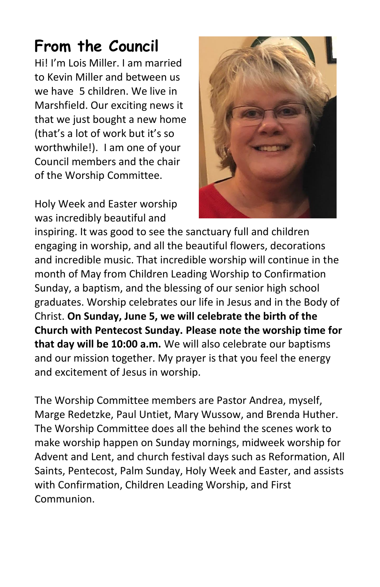#### **From the Council**

Hi! I'm Lois Miller. I am married to Kevin Miller and between us we have 5 children. We live in Marshfield. Our exciting news it that we just bought a new home (that's a lot of work but it's so worthwhile!). I am one of your Council members and the chair of the Worship Committee.

Holy Week and Easter worship was incredibly beautiful and



inspiring. It was good to see the sanctuary full and children engaging in worship, and all the beautiful flowers, decorations and incredible music. That incredible worship will continue in the month of May from Children Leading Worship to Confirmation Sunday, a baptism, and the blessing of our senior high school graduates. Worship celebrates our life in Jesus and in the Body of Christ. **On Sunday, June 5, we will celebrate the birth of the Church with Pentecost Sunday. Please note the worship time for that day will be 10:00 a.m.** We will also celebrate our baptisms and our mission together. My prayer is that you feel the energy and excitement of Jesus in worship.

The Worship Committee members are Pastor Andrea, myself, Marge Redetzke, Paul Untiet, Mary Wussow, and Brenda Huther. The Worship Committee does all the behind the scenes work to make worship happen on Sunday mornings, midweek worship for Advent and Lent, and church festival days such as Reformation, All Saints, Pentecost, Palm Sunday, Holy Week and Easter, and assists with Confirmation, Children Leading Worship, and First Communion.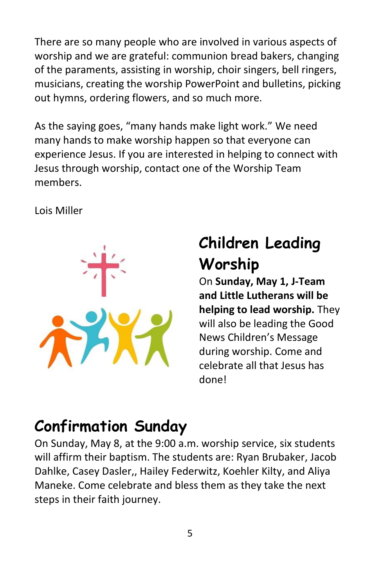There are so many people who are involved in various aspects of worship and we are grateful: communion bread bakers, changing of the paraments, assisting in worship, choir singers, bell ringers, musicians, creating the worship PowerPoint and bulletins, picking out hymns, ordering flowers, and so much more.

As the saying goes, "many hands make light work." We need many hands to make worship happen so that everyone can experience Jesus. If you are interested in helping to connect with Jesus through worship, contact one of the Worship Team members.

Lois Miller



#### **Children Leading Worship**

On **Sunday, May 1, J-Team and Little Lutherans will be helping to lead worship.** They will also be leading the Good News Children's Message during worship. Come and celebrate all that Jesus has done!

#### **Confirmation Sunday**

On Sunday, May 8, at the 9:00 a.m. worship service, six students will affirm their baptism. The students are: Ryan Brubaker, Jacob Dahlke, Casey Dasler,, Hailey Federwitz, Koehler Kilty, and Aliya Maneke. Come celebrate and bless them as they take the next steps in their faith journey.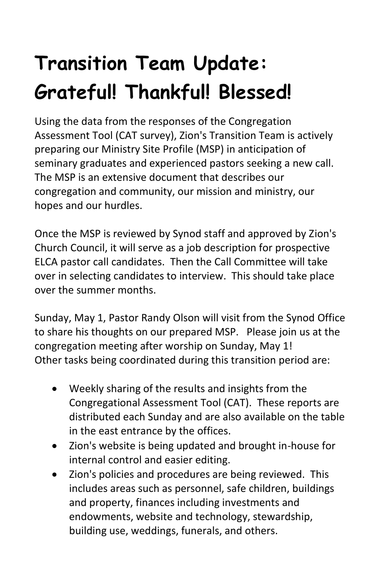## **Transition Team Update: Grateful! Thankful! Blessed!**

Using the data from the responses of the Congregation Assessment Tool (CAT survey), Zion's Transition Team is actively preparing our Ministry Site Profile (MSP) in anticipation of seminary graduates and experienced pastors seeking a new call. The MSP is an extensive document that describes our congregation and community, our mission and ministry, our hopes and our hurdles.

Once the MSP is reviewed by Synod staff and approved by Zion's Church Council, it will serve as a job description for prospective ELCA pastor call candidates. Then the Call Committee will take over in selecting candidates to interview. This should take place over the summer months.

Sunday, May 1, Pastor Randy Olson will visit from the Synod Office to share his thoughts on our prepared MSP. Please join us at the congregation meeting after worship on Sunday, May 1! Other tasks being coordinated during this transition period are:

- Weekly sharing of the results and insights from the Congregational Assessment Tool (CAT). These reports are distributed each Sunday and are also available on the table in the east entrance by the offices.
- Zion's website is being updated and brought in-house for internal control and easier editing.
- Zion's policies and procedures are being reviewed. This includes areas such as personnel, safe children, buildings and property, finances including investments and endowments, website and technology, stewardship, building use, weddings, funerals, and others.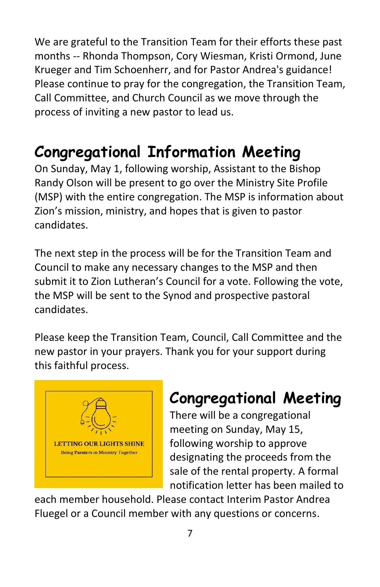We are grateful to the Transition Team for their efforts these past months -- Rhonda Thompson, Cory Wiesman, Kristi Ormond, June Krueger and Tim Schoenherr, and for Pastor Andrea's guidance! Please continue to pray for the congregation, the Transition Team, Call Committee, and Church Council as we move through the process of inviting a new pastor to lead us.

#### **Congregational Information Meeting**

On Sunday, May 1, following worship, Assistant to the Bishop Randy Olson will be present to go over the Ministry Site Profile (MSP) with the entire congregation. The MSP is information about Zion's mission, ministry, and hopes that is given to pastor candidates.

The next step in the process will be for the Transition Team and Council to make any necessary changes to the MSP and then submit it to Zion Lutheran's Council for a vote. Following the vote, the MSP will be sent to the Synod and prospective pastoral candidates.

Please keep the Transition Team, Council, Call Committee and the new pastor in your prayers. Thank you for your support during this faithful process.



#### **Congregational Meeting**

There will be a congregational meeting on Sunday, May 15, following worship to approve designating the proceeds from the sale of the rental property. A formal notification letter has been mailed to

each member household. Please contact Interim Pastor Andrea Fluegel or a Council member with any questions or concerns.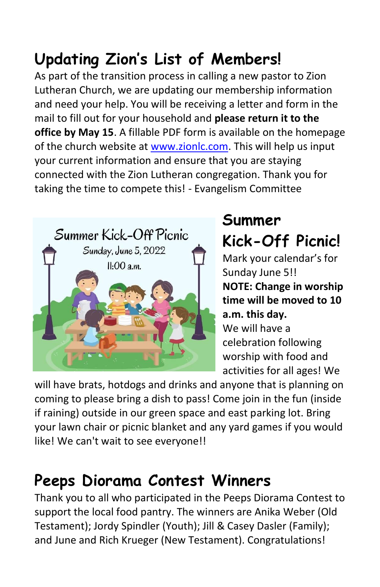#### **Updating Zion's List of Members!**

As part of the transition process in calling a new pastor to Zion Lutheran Church, we are updating our membership information and need your help. You will be receiving a letter and form in the mail to fill out for your household and **please return it to the office by May 15**. A fillable PDF form is available on the homepage of the church website at [www.zionlc.com.](http://www.zionlc.com/) This will help us input your current information and ensure that you are staying connected with the Zion Lutheran congregation. Thank you for taking the time to compete this! - Evangelism Committee



#### **Summer Kick-Off Picnic!**

Mark your calendar's for Sunday June 5!! **NOTE: Change in worship time will be moved to 10 a.m. this day.** We will have a celebration following worship with food and activities for all ages! We

will have brats, hotdogs and drinks and anyone that is planning on coming to please bring a dish to pass! Come join in the fun (inside if raining) outside in our green space and east parking lot. Bring your lawn chair or picnic blanket and any yard games if you would like! We can't wait to see everyone!!

#### **Peeps Diorama Contest Winners**

Thank you to all who participated in the Peeps Diorama Contest to support the local food pantry. The winners are Anika Weber (Old Testament); Jordy Spindler (Youth); Jill & Casey Dasler (Family); and June and Rich Krueger (New Testament). Congratulations!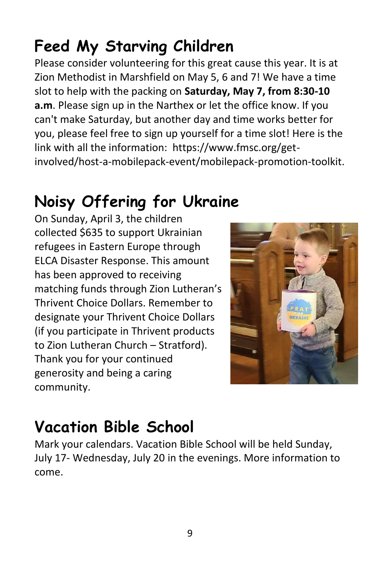link with all the information: https://www.fmsc.org/get-

#### **Noisy Offering for Ukraine**

**Feed My Starving Children**

Please consider volunteering for this great cause this year. It is at Zion Methodist in Marshfield on May 5, 6 and 7! We have a time slot to help with the packing on **Saturday, May 7, from 8:30-10 a.m**. Please sign up in the Narthex or let the office know. If you can't make Saturday, but another day and time works better for you, please feel free to sign up yourself for a time slot! Here is the

involved/host-a-mobilepack-event/mobilepack-promotion-toolkit.

On Sunday, April 3, the children collected \$635 to support Ukrainian refugees in Eastern Europe through ELCA Disaster Response. This amount has been approved to receiving matching funds through Zion Lutheran's Thrivent Choice Dollars. Remember to designate your Thrivent Choice Dollars (if you participate in Thrivent products to Zion Lutheran Church – Stratford). Thank you for your continued generosity and being a caring community.



#### **Vacation Bible School**

Mark your calendars. Vacation Bible School will be held Sunday, July 17- Wednesday, July 20 in the evenings. More information to come.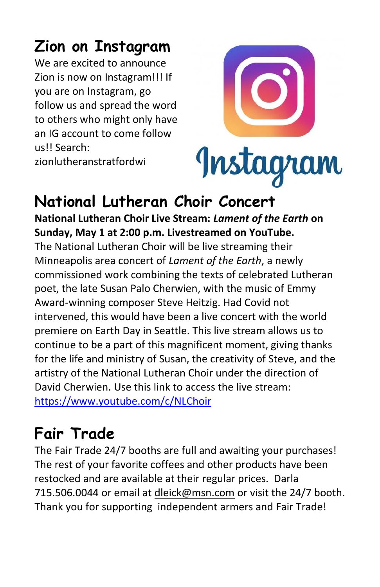#### **Zion on Instagram**

We are excited to announce Zion is now on Instagram!!! If you are on Instagram, go follow us and spread the word to others who might only have an IG account to come follow us!! Search:

zionlutheranstratfordwi



#### **National Lutheran Choir Concert**

**National Lutheran Choir Live Stream:** *Lament of the Earth* **on Sunday, May 1 at 2:00 p.m. Livestreamed on YouTube.**

The National Lutheran Choir will be live streaming their Minneapolis area concert of *Lament of the Earth*, a newly commissioned work combining the texts of celebrated Lutheran poet, the late Susan Palo Cherwien, with the music of Emmy Award-winning composer Steve Heitzig. Had Covid not intervened, this would have been a live concert with the world premiere on Earth Day in Seattle. This live stream allows us to continue to be a part of this magnificent moment, giving thanks for the life and ministry of Susan, the creativity of Steve, and the artistry of the National Lutheran Choir under the direction of David Cherwien. Use this link to access the live stream:

<https://www.youtube.com/c/NLChoir>

#### **Fair Trade**

The Fair Trade 24/7 booths are full and awaiting your purchases! The rest of your favorite coffees and other products have been restocked and are available at their regular prices. Darla 715.506.0044 or email at [dleick@msn.com](mailto:dleick@msn.com) or visit the 24/7 booth. Thank you for supporting independent armers and Fair Trade!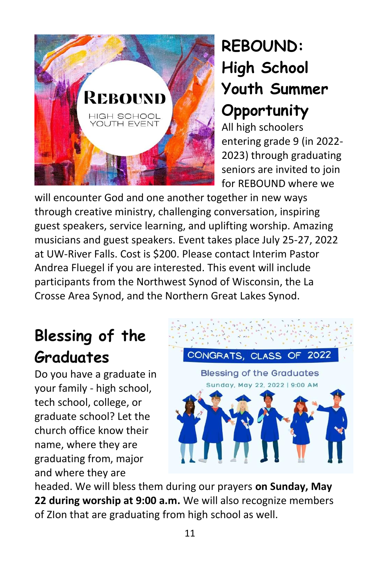

#### **REBOUND: High School Youth Summer Opportunity**

All high schoolers entering grade 9 (in 2022- 2023) through graduating seniors are invited to join for REBOUND where we

will encounter God and one another together in new ways through creative ministry, challenging conversation, inspiring guest speakers, service learning, and uplifting worship. Amazing musicians and guest speakers. Event takes place July 25-27, 2022 at UW-River Falls. Cost is \$200. Please contact Interim Pastor Andrea Fluegel if you are interested. This event will include participants from the Northwest Synod of Wisconsin, the La Crosse Area Synod, and the Northern Great Lakes Synod.

#### **Blessing of the Graduates**

Do you have a graduate in your family - high school, tech school, college, or graduate school? Let the church office know their name, where they are graduating from, major and where they are



headed. We will bless them during our prayers **on Sunday, May 22 during worship at 9:00 a.m.** We will also recognize members of ZIon that are graduating from high school as well.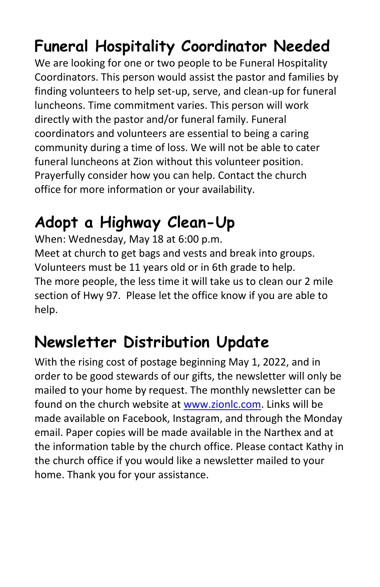#### **Funeral Hospitality Coordinator Needed**

We are looking for one or two people to be Funeral Hospitality Coordinators. This person would assist the pastor and families by finding volunteers to help set-up, serve, and clean-up for funeral luncheons. Time commitment varies. This person will work directly with the pastor and/or funeral family. Funeral coordinators and volunteers are essential to being a caring community during a time of loss. We will not be able to cater funeral luncheons at Zion without this volunteer position. Prayerfully consider how you can help. Contact the church office for more information or your availability.

#### **Adopt a Highway Clean-Up**

When: Wednesday, May 18 at 6:00 p.m. Meet at church to get bags and vests and break into groups. Volunteers must be 11 years old or in 6th grade to help. The more people, the less time it will take us to clean our 2 mile section of Hwy 97. Please let the office know if you are able to help.

#### **Newsletter Distribution Update**

With the rising cost of postage beginning May 1, 2022, and in order to be good stewards of our gifts, the newsletter will only be mailed to your home by request. The monthly newsletter can be found on the church website at [www.zionlc.com.](http://www.zionlc.com/) Links will be made available on Facebook, Instagram, and through the Monday email. Paper copies will be made available in the Narthex and at the information table by the church office. Please contact Kathy in the church office if you would like a newsletter mailed to your home. Thank you for your assistance.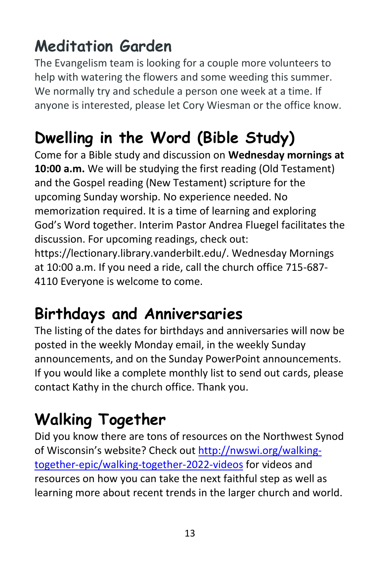#### **Meditation Garden**

The Evangelism team is looking for a couple more volunteers to help with watering the flowers and some weeding this summer. We normally try and schedule a person one week at a time. If anyone is interested, please let Cory Wiesman or the office know.

#### **Dwelling in the Word (Bible Study)**

Come for a Bible study and discussion on **Wednesday mornings at 10:00 a.m.** We will be studying the first reading (Old Testament) and the Gospel reading (New Testament) scripture for the upcoming Sunday worship. No experience needed. No memorization required. It is a time of learning and exploring God's Word together. Interim Pastor Andrea Fluegel facilitates the discussion. For upcoming readings, check out: https://lectionary.library.vanderbilt.edu/. Wednesday Mornings at 10:00 a.m. If you need a ride, call the church office 715-687- 4110 Everyone is welcome to come.

#### **Birthdays and Anniversaries**

The listing of the dates for birthdays and anniversaries will now be posted in the weekly Monday email, in the weekly Sunday announcements, and on the Sunday PowerPoint announcements. If you would like a complete monthly list to send out cards, please contact Kathy in the church office. Thank you.

#### **Walking Together**

Did you know there are tons of resources on the Northwest Synod of Wisconsin's website? Check out [http://nwswi.org/walking](http://nwswi.org/walking-together-epic/walking-together-2022-videos)[together-epic/walking-together-2022-videos](http://nwswi.org/walking-together-epic/walking-together-2022-videos) for videos and resources on how you can take the next faithful step as well as learning more about recent trends in the larger church and world.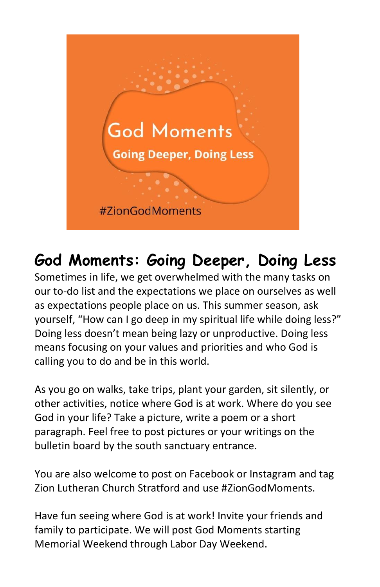

#### **God Moments: Going Deeper, Doing Less**

Sometimes in life, we get overwhelmed with the many tasks on our to-do list and the expectations we place on ourselves as well as expectations people place on us. This summer season, ask yourself, "How can I go deep in my spiritual life while doing less?" Doing less doesn't mean being lazy or unproductive. Doing less means focusing on your values and priorities and who God is calling you to do and be in this world.

As you go on walks, take trips, plant your garden, sit silently, or other activities, notice where God is at work. Where do you see God in your life? Take a picture, write a poem or a short paragraph. Feel free to post pictures or your writings on the bulletin board by the south sanctuary entrance.

You are also welcome to post on Facebook or Instagram and tag Zion Lutheran Church Stratford and use #ZionGodMoments.

Have fun seeing where God is at work! Invite your friends and family to participate. We will post God Moments starting Memorial Weekend through Labor Day Weekend.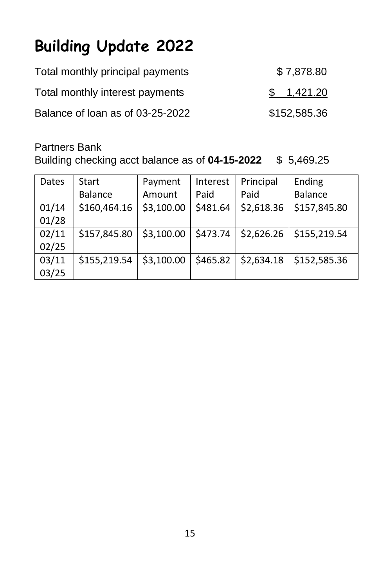#### **Building Update 2022**

| Total monthly principal payments | \$7,878.80   |
|----------------------------------|--------------|
| Total monthly interest payments  | \$1,421.20   |
| Balance of loan as of 03-25-2022 | \$152,585.36 |

Partners Bank

Building checking acct balance as of **04-15-2022** \$ 5,469.25

| Dates | Start          | Payment    | Interest | Principal  | Ending         |
|-------|----------------|------------|----------|------------|----------------|
|       | <b>Balance</b> | Amount     | Paid     | Paid       | <b>Balance</b> |
| 01/14 | \$160,464.16   | \$3,100.00 | \$481.64 | \$2,618.36 | \$157,845.80   |
| 01/28 |                |            |          |            |                |
| 02/11 | \$157,845.80   | \$3,100.00 | \$473.74 | \$2,626.26 | \$155,219.54   |
| 02/25 |                |            |          |            |                |
| 03/11 | \$155,219.54   | \$3,100.00 | \$465.82 | \$2,634.18 | \$152,585.36   |
| 03/25 |                |            |          |            |                |